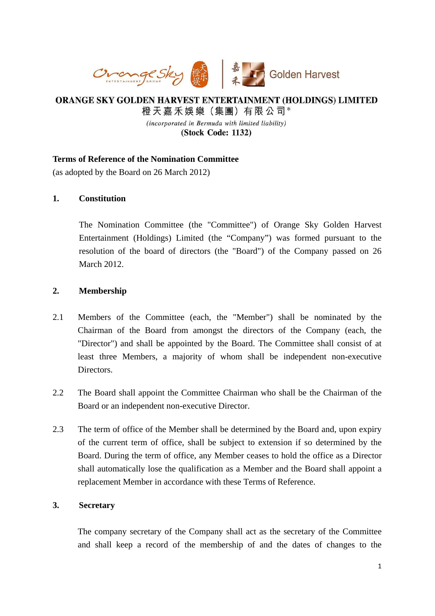

# ORANGE SKY GOLDEN HARVEST ENTERTAINMENT (HOLDINGS) LIMITED 橙天嘉禾娛樂 (集團) 有限公司\* (incorporated in Bermuda with limited liability)

(Stock Code: 1132)

# **Terms of Reference of the Nomination Committee**

(as adopted by the Board on 26 March 2012)

# **1. Constitution**

The Nomination Committee (the "Committee") of Orange Sky Golden Harvest Entertainment (Holdings) Limited (the "Company") was formed pursuant to the resolution of the board of directors (the "Board") of the Company passed on 26 March 2012.

### **2. Membership**

- 2.1 Members of the Committee (each, the "Member") shall be nominated by the Chairman of the Board from amongst the directors of the Company (each, the "Director") and shall be appointed by the Board. The Committee shall consist of at least three Members, a majority of whom shall be independent non-executive Directors.
- 2.2 The Board shall appoint the Committee Chairman who shall be the Chairman of the Board or an independent non-executive Director.
- 2.3 The term of office of the Member shall be determined by the Board and, upon expiry of the current term of office, shall be subject to extension if so determined by the Board. During the term of office, any Member ceases to hold the office as a Director shall automatically lose the qualification as a Member and the Board shall appoint a replacement Member in accordance with these Terms of Reference.

# **3. Secretary**

The company secretary of the Company shall act as the secretary of the Committee and shall keep a record of the membership of and the dates of changes to the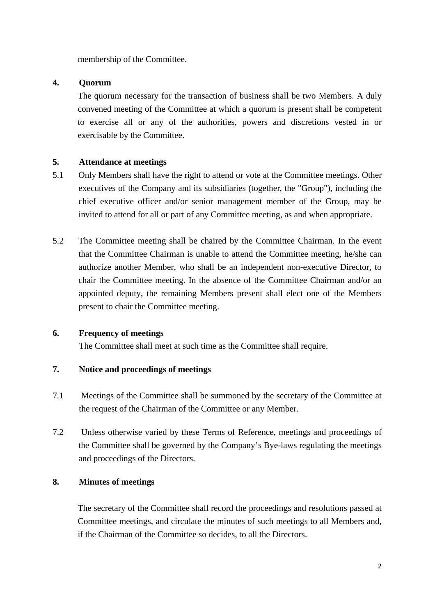membership of the Committee.

## **4. Quorum**

The quorum necessary for the transaction of business shall be two Members. A duly convened meeting of the Committee at which a quorum is present shall be competent to exercise all or any of the authorities, powers and discretions vested in or exercisable by the Committee.

### **5. Attendance at meetings**

- 5.1 Only Members shall have the right to attend or vote at the Committee meetings. Other executives of the Company and its subsidiaries (together, the "Group"), including the chief executive officer and/or senior management member of the Group, may be invited to attend for all or part of any Committee meeting, as and when appropriate.
- 5.2 The Committee meeting shall be chaired by the Committee Chairman. In the event that the Committee Chairman is unable to attend the Committee meeting, he/she can authorize another Member, who shall be an independent non-executive Director, to chair the Committee meeting. In the absence of the Committee Chairman and/or an appointed deputy, the remaining Members present shall elect one of the Members present to chair the Committee meeting.

#### **6. Frequency of meetings**

The Committee shall meet at such time as the Committee shall require.

# **7. Notice and proceedings of meetings**

- 7.1 Meetings of the Committee shall be summoned by the secretary of the Committee at the request of the Chairman of the Committee or any Member.
- 7.2 Unless otherwise varied by these Terms of Reference, meetings and proceedings of the Committee shall be governed by the Company's Bye-laws regulating the meetings and proceedings of the Directors.

# **8. Minutes of meetings**

The secretary of the Committee shall record the proceedings and resolutions passed at Committee meetings, and circulate the minutes of such meetings to all Members and, if the Chairman of the Committee so decides, to all the Directors.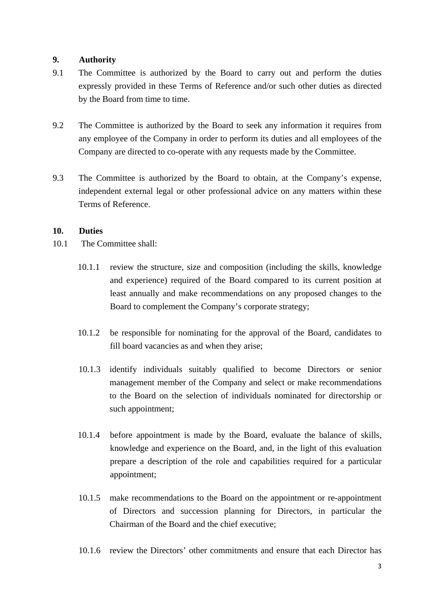### **9. Authority**

- 9.1 The Committee is authorized by the Board to carry out and perform the duties expressly provided in these Terms of Reference and/or such other duties as directed by the Board from time to time.
- 9.2 The Committee is authorized by the Board to seek any information it requires from any employee of the Company in order to perform its duties and all employees of the Company are directed to co-operate with any requests made by the Committee.
- 9.3 The Committee is authorized by the Board to obtain, at the Company's expense, independent external legal or other professional advice on any matters within these Terms of Reference.

### **10. Duties**

- 10.1 The Committee shall:
	- 10.1.1 review the structure, size and composition (including the skills, knowledge and experience) required of the Board compared to its current position at least annually and make recommendations on any proposed changes to the Board to complement the Company's corporate strategy;
	- 10.1.2 be responsible for nominating for the approval of the Board, candidates to fill board vacancies as and when they arise;
	- 10.1.3 identify individuals suitably qualified to become Directors or senior management member of the Company and select or make recommendations to the Board on the selection of individuals nominated for directorship or such appointment;
	- 10.1.4 before appointment is made by the Board, evaluate the balance of skills, knowledge and experience on the Board, and, in the light of this evaluation prepare a description of the role and capabilities required for a particular appointment;
	- 10.1.5 make recommendations to the Board on the appointment or re-appointment of Directors and succession planning for Directors, in particular the Chairman of the Board and the chief executive;
	- 10.1.6 review the Directors' other commitments and ensure that each Director has